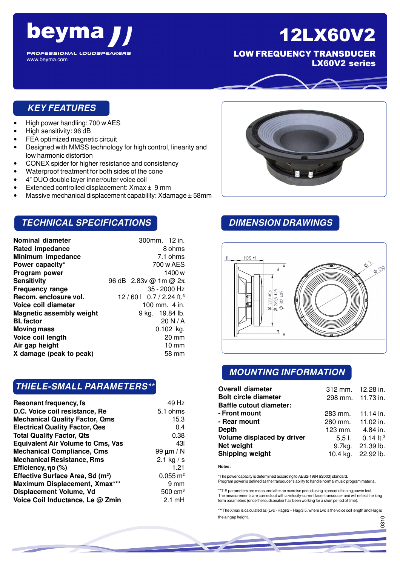

LOW FREQUENCY TRANSDUCER LX60V2 series

## **KEY FEATURES**

• High power handling: 700 w AES

**beyma** 

**PROFESSIONAL LOUDSPEAKERS** 

• High sensitivity: 96 dB

www.beyma.com

- FEA optimized magnetic circuit
- Designed with MMSS technology for high control, linearity and low harmonic distortion
- CONEX spider for higher resistance and consistency
- Waterproof treatment for both sides of the cone
- 4" DUO double layer inner/outer voice coil
- Extended controlled displacement: Xmax ± 9 mm
- Massive mechanical displacement capability: Xdamage ± 58mm

## **TECHNICAL SPECIFICATIONS**

| Nominal diameter                | 300mm. 12 in.                          |
|---------------------------------|----------------------------------------|
| <b>Rated impedance</b>          | 8 ohms                                 |
| Minimum impedance               | 7.1 ohms                               |
| Power capacity*                 | 700 w AES                              |
| Program power                   | 1400 w                                 |
| Sensitivity                     | 96 dB $2.83v$ @ 1m @ $2\pi$            |
| <b>Frequency range</b>          | 35 - 2000 Hz                           |
| Recom. enclosure vol.           | 12/60 $\mid$ 0.7/2.24 ft. <sup>3</sup> |
| Voice coil diameter             | 100 mm. 4 in.                          |
| <b>Magnetic assembly weight</b> | 9 kg. 19.84 lb.                        |
| <b>BL factor</b>                | 20 N/A                                 |
| Moving mass                     | $0.102$ kg.                            |
| Voice coil length               | 20 mm                                  |
| Air gap height                  | $10 \, \text{mm}$                      |
| X damage (peak to peak)         | 58 mm                                  |
|                                 |                                        |

## **THIELE-SMALL PARAMETERS\*\***

| Resonant frequency, fs                       | 49 Hz                 |
|----------------------------------------------|-----------------------|
| D.C. Voice coil resistance, Re               | 5.1 ohms              |
| <b>Mechanical Quality Factor, Qms</b>        | 15.3                  |
| <b>Electrical Quality Factor, Qes</b>        | 0.4                   |
| <b>Total Quality Factor, Qts</b>             | 0.38                  |
| <b>Equivalent Air Volume to Cms, Vas</b>     | 431                   |
| <b>Mechanical Compliance, Cms</b>            | 99 $\mu$ m / N        |
| <b>Mechanical Resistance, Rms</b>            | 2.1 kg $/s$           |
| Efficiency, no (%)                           | 1.21                  |
| Effective Surface Area, Sd (m <sup>2</sup> ) | $0.055 \, \text{m}^2$ |
| Maximum Displacement, Xmax***                | $9 \text{ mm}$        |
| Displacement Volume, Vd                      | $500 \text{ cm}^3$    |
| Voice Coil Inductance, Le @ Zmin             | $2.1 \text{ mH}$      |



## **DIMENSION DRAWINGS**



## **MOUNTING INFORMATION**

| <b>Overall diameter</b>        | 312 mm. 12.28 in. |                                |
|--------------------------------|-------------------|--------------------------------|
| <b>Bolt circle diameter</b>    | 298 mm. 11.73 in. |                                |
| <b>Baffle cutout diameter:</b> |                   |                                |
| - Front mount                  | 283 mm. 11.14 in. |                                |
| - Rear mount                   | 280 mm. 11.02 in. |                                |
| Depth                          | 123 mm. 4.84 in.  |                                |
| Volume displaced by driver     |                   | 5,5 l. $0.14$ ft. <sup>3</sup> |
| Net weight                     |                   | 9.7kg. 21.39 lb.               |
| <b>Shipping weight</b>         |                   | 10.4 kg. 22.92 lb.             |

**Notes:**

\*The power capacity is determined according to AES2-1984 (r2003) standard. Program power is defined as the transducer's ability to handle normal music program material.

\*\*T-S parameters are measured after an exercise period using a preconditioning power test. The measurements are carried out with a velocity-current laser transducer and will reflect the long term parameters (once the loudspeaker has been working for a short period of time).

\*\*\*The Xmax is calculated as (Lvc - Hag)/2 + Hag/3.5, where Lvc is the voice coil length and Hag is the air gap height.

056

.<br>მ